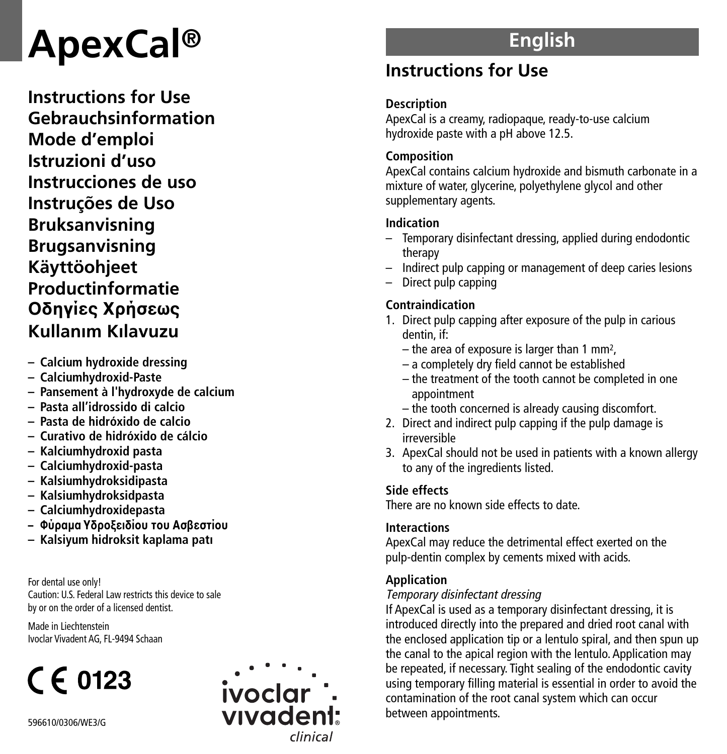# **A p e x C a l ®**

Instructions for Use **G e b r a u c h s i n f o r m a t i o n M o d e d ' e m p l o i I s t r u z i o n i d ' u s o** Instrucciones de uso **I n s t r u ç õ e s d e U s o B r u k s a n v i s n i n g B r u g s a n v i s n i n g K ä y t t ö o h j e e t Productinformatie O δ η γ ί ε ς X ρ ή σ ε ω ς K u l l a n › m K › l a v u z u**

- $-$  Calcium hydroxide dressing
- $-$  Calciumhydroxid-Paste
- Pansement à l'hydroxyde de calcium
- Pasta all'idrossido di calcio
- $-$  Pasta de hidróxido de calcio
- Curativo de hidróxido de cálcio
- Kalciumhydroxid pasta
- Calciumhydroxid-pasta
- $-$  Kalsiumhydroksidipasta
- Kalsiumhydroksidpasta
- $-$  Calciumhydroxidepasta
- Φύραμα Υδροξειδίου του Ασβεστίου
- Kalsiyum hidroksit kaplama patı

For dental use only! Caution: U.S. Federal Law restricts this device to sale by or on the order of a licensed dentist.

Made in Liechtenstein Ivoclar Vivadent AG, FL-9494 Schaan

# $C \epsilon$  0123



# **E n g l i s h**

# Instructions for Use

# **D e s c r i p t i o n**

ApexCal is a creamy, radiopaque, ready-to-use calcium hydroxide paste with a pH above 12.5.

# **C o m p o s i t i o n**

ApexCal contains calcium hydroxide and bismuth carbonate in a mixture of water, glycerine, polyethylene glycol and other supplementary agents.

# **I n d i c a t i o n**

- Temporary disinfectant dressing, applied during endodontic therapy
- Indirect pulp capping or management of deep caries lesions
- Direct pulp capping

# **C o n t r a i n d i c a t i o n**

- 1. Direct pulp capping after exposure of the pulp in carious dentin, if:
	- the area of exposure is larger than 1 mm<sup>2</sup>,
	- a completely dry field cannot be established
	- the treatment of the tooth cannot be completed in one appointment
	- the tooth concerned is already causing discomfort.
- 2. Direct and indirect pulp capping if the pulp damage is irreversible
- 3. ApexCal should not be used in patients with a known allergy to any of the ingredients listed.

# **S i d e e f f e c t s**

There are no known side effects to date.

# **lnteractions**

ApexCal may reduce the detrimental effect exerted on the pulp-dentin complex by cements mixed with acids.

# **Application**

# Tempora ry disinfecta nt dressing

If ApexCal is used as a temporary disinfectant dressing, it is introduced directly into the prepared and dried root canal with the enclosed application tip or a lentulo spiral, and then spun up the canal to the apical region with the lentulo. Application may be repeated, if necessary. Tight sealing of the endodontic cavity using temporary filling material is essential in order to avoid the contamination of the root canal system which can occur between appointments.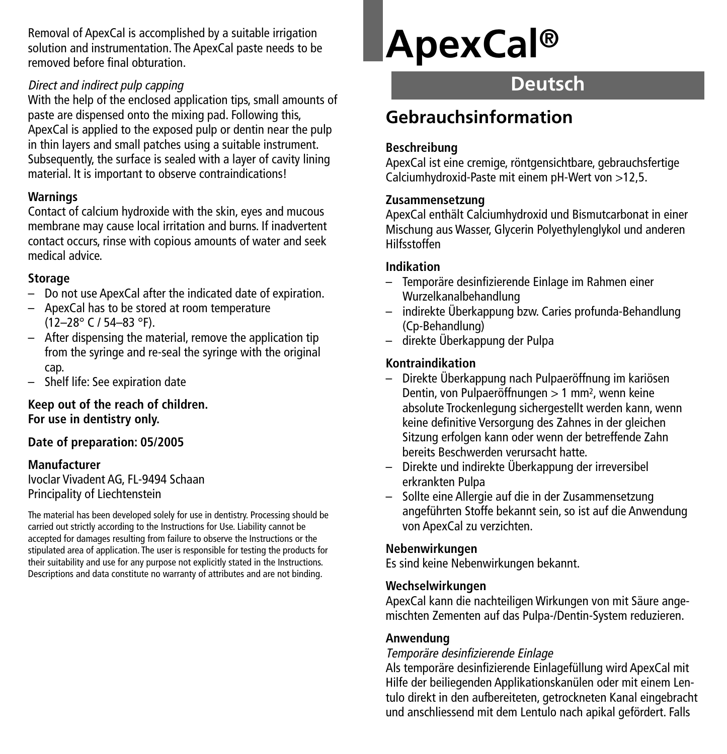Removal of ApexCal is accomplished by a suitable irrigation solution and instrumentation. The ApexCal paste needs to be removed before final obturation.

#### Direct and indirect pulp capping

With the help of the enclosed application tips, small amounts of paste are dispensed onto the mixing pad. Following this, ApexCal is applied to the exposed pulp or dentin near the pulp in thin layers and small patches using a suitable instrument. Subsequently, the surface is sealed with a layer of cavity lining material. It is important to observe contraindications!

#### **Warnings**

Contact of calcium hydroxide with the skin, eyes and mucous membrane may cause local irritation and burns. If inadvertent contact occurs, rinse with copious amounts of water and seek medical advice.

#### **Storage**

- Do not use ApexCal after the indicated date of expiration.
- ApexCal has to be stored at room temperature (12–28° C / 54–83 °F).
- After dispensing the material, remove the application tip from the syringe and re-seal the syringe with the original cap.
- Shelf life: See expiration date

**Keep out of the reach of children. For use in dentistry only.**

# **Date of preparation: 05/2005**

#### **Manufacturer**

Ivoclar Vivadent AG, FL-9494 Schaan Principality of Liechtenstein

The material has been developed solely for use in dentistry. Processing should be carried out strictly according to the Instructions for Use. Liability cannot be accepted for damages resulting from failure to observe the Instructions or the stipulated area of application. The user is responsible for testing the products for their suitability and use for any purpose not explicitly stated in the Instructions. Descriptions and data constitute no warranty of attributes and are not binding.

# **ApexCal®**

# **Deutsch**

# **Gebrauchsinformation**

#### **Beschreibung**

ApexCal ist eine cremige, röntgensichtbare, gebrauchsfertige Calciumhydroxid-Paste mit einem pH-Wert von >12,5.

#### **Zusammensetzung**

ApexCal enthält Calciumhydroxid und Bismutcarbonat in einer Mischung aus Wasser, Glycerin Polyethylenglykol und anderen Hilfsstoffen

#### **Indikation**

- Temporäre desinfizierende Einlage im Rahmen einer Wurzelkanalbehandlung
- indirekte Überkappung bzw. Caries profunda-Behandlung (Cp-Behandlung)
- direkte Überkappung der Pulpa

#### **Kontraindikation**

- Direkte Überkappung nach Pulpaeröffnung im kariösen Dentin, von Pulpaeröffnungen > 1 mm2, wenn keine absolute Trockenlegung sichergestellt werden kann, wenn keine definitive Versorgung des Zahnes in der gleichen Sitzung erfolgen kann oder wenn der betreffende Zahn bereits Beschwerden verursacht hatte.
- Direkte und indirekte Überkappung der irreversibel erkrankten Pulpa
- Sollte eine Allergie auf die in der Zusammensetzung angeführten Stoffe bekannt sein, so ist auf die Anwendung von ApexCal zu verzichten.

#### **Nebenwirkungen**

Es sind keine Nebenwirkungen bekannt.

#### **Wechselwirkungen**

ApexCal kann die nachteiligen Wirkungen von mit Säure angemischten Zementen auf das Pulpa-/Dentin-System reduzieren.

#### **Anwendung**

#### Temporäre desinfizierende Einlage

Als temporäre desinfizierende Einlagefüllung wird ApexCal mit Hilfe der beiliegenden Applikationskanülen oder mit einem Lentulo direkt in den aufbereiteten, getrockneten Kanal eingebracht und anschliessend mit dem Lentulo nach apikal gefördert. Falls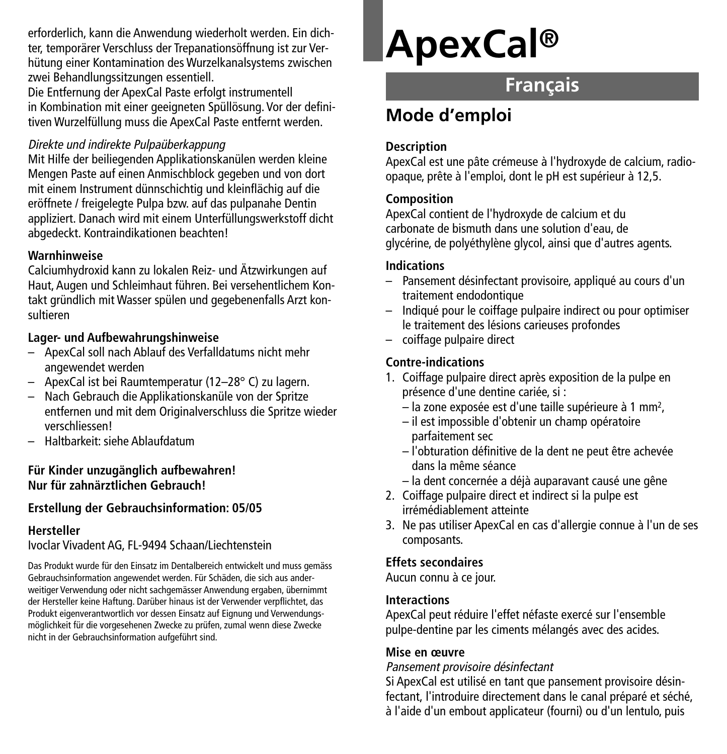erforderlich, kann die Anwendung wiederholt werden. Ein dichter, temporärer Verschluss der Trepanationsöffnung ist zur Verhütung einer Kontamination des Wurzelkanalsystems zwischen zwei Behandlungssitzungen essentiell.

Die Entfernung der ApexCal Paste erfolgt instrumentell in Kombination mit einer geeigneten Spüllösung. Vor der definitiven Wurzelfüllung muss die ApexCal Paste entfernt werden.

#### Direkte und indirekte Pulpaüberkappung

Mit Hilfe der beiliegenden Applikationskanülen werden kleine Mengen Paste auf einen Anmischblock gegeben und von dort mit einem Instrument dünnschichtig und kleinflächig auf die eröffnete / freigelegte Pulpa bzw. auf das pulpanahe Dentin appliziert. Danach wird mit einem Unterfüllungswerkstoff dicht abgedeckt. Kontraindikationen beachten!

#### **Warnhinweise**

Calciumhydroxid kann zu lokalen Reiz- und Ätzwirkungen auf Haut, Augen und Schleimhaut führen. Bei versehentlichem Kontakt gründlich mit Wasser spülen und gegebenenfalls Arzt konsultieren

### **Lager- und Aufbewahrungshinweise**

- ApexCal soll nach Ablauf des Verfalldatums nicht mehr angewendet werden
- ApexCal ist bei Raumtemperatur (12–28° C) zu lagern.
- Nach Gebrauch die Applikationskanüle von der Spritze entfernen und mit dem Originalverschluss die Spritze wieder verschliessen!
- Haltbarkeit: siehe Ablaufdatum

#### **Für Kinder unzugänglich aufbewahren! Nur für zahnärztlichen Gebrauch!**

# **Erstellung der Gebrauchsinformation: 05/05**

# **Hersteller**

#### Ivoclar Vivadent AG, FL-9494 Schaan/Liechtenstein

Das Produkt wurde für den Einsatz im Dentalbereich entwickelt und muss gemäss Gebrauchsinformation angewendet werden. Für Schäden, die sich aus anderweitiger Verwendung oder nicht sachgemässer Anwendung ergaben, übernimmt der Hersteller keine Haftung. Darüber hinaus ist der Verwender verpflichtet, das Produkt eigenverantwortlich vor dessen Einsatz auf Eignung und Verwendungsmöglichkeit für die vorgesehenen Zwecke zu prüfen, zumal wenn diese Zwecke nicht in der Gebrauchsinformation aufgeführt sind.

# **ApexCal®**

# **Français**

# **Mode d'emploi**

### **Description**

ApexCal est une pâte crémeuse à l'hydroxyde de calcium, radioopaque, prête à l'emploi, dont le pH est supérieur à 12,5.

#### **Composition**

ApexCal contient de l'hydroxyde de calcium et du carbonate de bismuth dans une solution d'eau, de glycérine, de polyéthylène glycol, ainsi que d'autres agents.

#### **Indications**

- Pansement désinfectant provisoire, appliqué au cours d'un traitement endodontique
- Indiqué pour le coiffage pulpaire indirect ou pour optimiser le traitement des lésions carieuses profondes
- coiffage pulpaire direct

# **Contre-indications**

- 1. Coiffage pulpaire direct après exposition de la pulpe en présence d'une dentine cariée, si :
	- la zone exposée est d'une taille supérieure à 1 mm2,
	- il est impossible d'obtenir un champ opératoire parfaitement sec
	- l'obturation définitive de la dent ne peut être achevée dans la même séance
	- la dent concernée a déjà auparavant causé une gêne
- 2. Coiffage pulpaire direct et indirect si la pulpe est irrémédiablement atteinte
- 3. Ne pas utiliser ApexCal en cas d'allergie connue à l'un de ses composants.

# **Effets secondaires**

Aucun connu à ce jour.

# **Interactions**

ApexCal peut réduire l'effet néfaste exercé sur l'ensemble pulpe-dentine par les ciments mélangés avec des acides.

# **Mise en œuvre**

#### Pansement provisoire désinfectant

Si ApexCal est utilisé en tant que pansement provisoire désinfectant, l'introduire directement dans le canal préparé et séché, à l'aide d'un embout applicateur (fourni) ou d'un lentulo, puis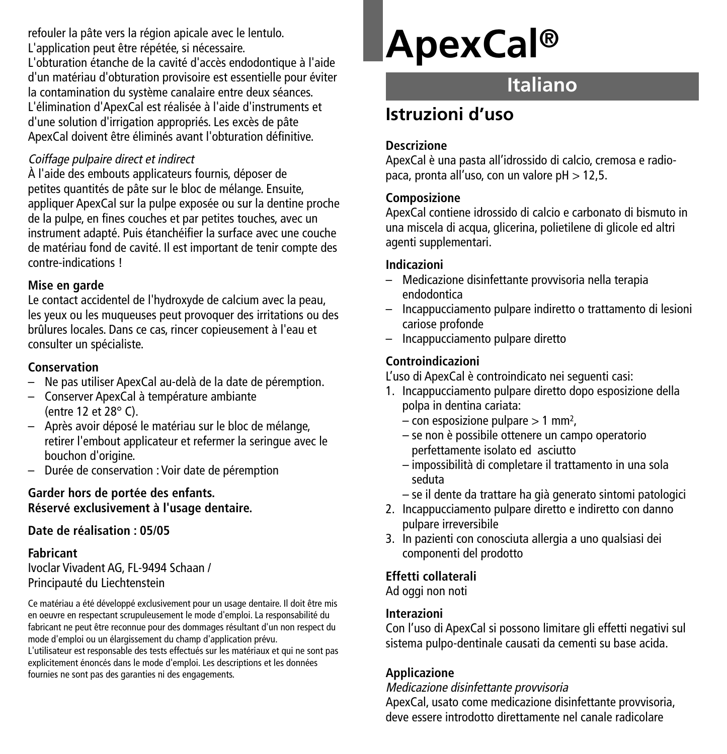refouler la pâte vers la région apicale avec le lentulo. L'application peut être répétée, si nécessaire.

L'obturation étanche de la cavité d'accès endodontique à l'aide d'un matériau d'obturation provisoire est essentielle pour éviter la contamination du système canalaire entre deux séances. L'élimination d'ApexCal est réalisée à l'aide d'instruments et d'une solution d'irrigation appropriés. Les excès de pâte ApexCal doivent être éliminés avant l'obturation définitive.

#### Coiffage pulpaire direct et indirect

À l'aide des embouts applicateurs fournis, déposer de petites quantités de pâte sur le bloc de mélange. Ensuite, appliquer ApexCal sur la pulpe exposée ou sur la dentine proche de la pulpe, en fines couches et par petites touches, avec un instrument adapté. Puis étanchéifier la surface avec une couche de matériau fond de cavité. Il est important de tenir compte des contre-indications !

#### **Mise en garde**

Le contact accidentel de l'hydroxyde de calcium avec la peau, les yeux ou les muqueuses peut provoquer des irritations ou des brûlures locales. Dans ce cas, rincer copieusement à l'eau et consulter un spécialiste.

#### **Conservation**

- Ne pas utiliser ApexCal au-delà de la date de péremption.
- Conserver ApexCal à température ambiante (entre 12 et 28° C).
- Après avoir déposé le matériau sur le bloc de mélange, retirer l'embout applicateur et refermer la seringue avec le bouchon d'origine.
- Durée de conservation : Voir date de péremption

#### **Garder hors de portée des enfants. Réservé exclusivement à l'usage dentaire.**

### **Date de réalisation : 05/05**

#### **Fabricant**

Ivoclar Vivadent AG, FL-9494 Schaan / Principauté du Liechtenstein

Ce matériau a été développé exclusivement pour un usage dentaire. Il doit être mis en oeuvre en respectant scrupuleusement le mode d'emploi. La responsabilité du fabricant ne peut être reconnue pour des dommages résultant d'un non respect du mode d'emploi ou un élargissement du champ d'application prévu. L'utilisateur est responsable des tests effectués sur les matériaux et qui ne sont pas

explicitement énoncés dans le mode d'emploi. Les descriptions et les données fournies ne sont pas des garanties ni des engagements.

# **ApexCal®**

# **Italiano**

# **Istruzioni d'uso**

#### **Descrizione**

ApexCal è una pasta all'idrossido di calcio, cremosa e radiopaca, pronta all'uso, con un valore pH > 12,5.

#### **Composizione**

ApexCal contiene idrossido di calcio e carbonato di bismuto in una miscela di acqua, glicerina, polietilene di glicole ed altri agenti supplementari.

#### **Indicazioni**

- Medicazione disinfettante provvisoria nella terapia endodontica
- Incappucciamento pulpare indiretto o trattamento di lesioni cariose profonde
- Incappucciamento pulpare diretto

#### **Controindicazioni**

L'uso di ApexCal è controindicato nei seguenti casi:

- 1. Incappucciamento pulpare diretto dopo esposizione della polpa in dentina cariata:
	- $-$  con esposizione pulpare  $> 1$  mm<sup>2</sup>.
	- se non è possibile ottenere un campo operatorio perfettamente isolato ed asciutto
	- impossibilità di completare il trattamento in una sola seduta
	- se il dente da trattare ha già generato sintomi patologici
- 2. Incappucciamento pulpare diretto e indiretto con danno pulpare irreversibile
- 3. In pazienti con conosciuta allergia a uno qualsiasi dei componenti del prodotto

# **Effetti collaterali**

Ad oggi non noti

#### **Interazioni**

Con l'uso di ApexCal si possono limitare gli effetti negativi sul sistema pulpo-dentinale causati da cementi su base acida.

# **Applicazione**

Medicazione disinfettante provvisoria

ApexCal, usato come medicazione disinfettante provvisoria, deve essere introdotto direttamente nel canale radicolare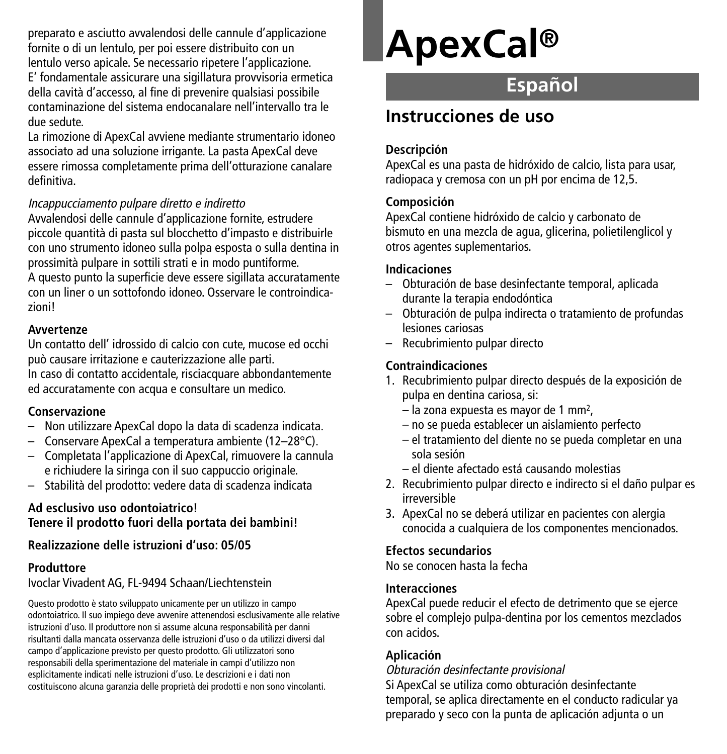preparato e asciutto avvalendosi delle cannule d'applicazione fornite o di un lentulo, per poi essere distribuito con un lentulo verso apicale. Se necessario ripetere l'applicazione. E' fondamentale assicurare una sigillatura provvisoria ermetica della cavità d'accesso, al fine di prevenire qualsiasi possibile contaminazione del sistema endocanalare nell'intervallo tra le due sedute.

La rimozione di ApexCal avviene mediante strumentario idoneo associato ad una soluzione irrigante. La pasta ApexCal deve essere rimossa completamente prima dell'otturazione canalare definitiva.

#### Incappucciamento pulpare diretto <sup>e</sup> indiretto

Avvalendosi delle cannule d'applicazione fornite, estrudere piccole quantità di pasta sul blocchetto d'impasto e distribuirle con uno strumento idoneo sulla polpa esposta o sulla dentina in prossimità pulpare in sottili strati e in modo puntiforme. A questo punto la superficie deve essere sigillata accuratamente con un liner o un sottofondo idoneo. Osservare le controindicazioni!

#### **Avvertenze**

Un contatto dell' idrossido di calcio con cute, mucose ed occhi può causare irritazione e cauterizzazione alle parti. In caso di contatto accidentale, risciacquare abbondantemente ed accuratamente con acqua e consultare un medico.

#### **Conservazione**

- Non utilizzare ApexCal dopo la data di scadenza indicata.
- Conservare ApexCal a temperatura ambiente (12–28°C).
- Completata l'applicazione di ApexCal, rimuovere la cannula e richiudere la siringa con il suo cappuccio originale.
- Stabilità del prodotto: vedere data di scadenza indicata

#### **Ad esclusivo uso odontoiatrico! Tenere il prodotto fuori della portata dei bambini!**

#### **Realizzazione delle istruzioni d'uso: 05/05**

#### **Produttore**

Ivoclar Vivadent AG, FL-9494 Schaan/Liechtenstein

Questo prodotto è stato sviluppato unicamente per un utilizzo in campo odontoiatrico. Il suo impiego deve avvenire attenendosi esclusivamente alle relative istruzioni d'uso. Il produttore non si assume alcuna responsabilità per danni risultanti dalla mancata osservanza delle istruzioni d'uso o da utilizzi diversi dal campo d'applicazione previsto per questo prodotto. Gli utilizzatori sono responsabili della sperimentazione del materiale in campi d'utilizzo non esplicitamente indicati nelle istruzioni d'uso. Le descrizioni e i dati non costituiscono alcuna garanzia delle proprietà dei prodotti e non sono vincolanti.

# **ApexCal®**

# **Español**

# **Instrucciones de uso**

#### **Descripción**

ApexCal es una pasta de hidróxido de calcio, lista para usar, radiopaca y cremosa con un pH por encima de 12,5.

#### **Composición**

ApexCal contiene hidróxido de calcio y carbonato de bismuto en una mezcla de agua, glicerina, polietilenglicol y otros agentes suplementarios.

# **Indicaciones**

- Obturación de base desinfectante temporal, aplicada durante la terapia endodóntica
- Obturación de pulpa indirecta o tratamiento de profundas lesiones cariosas
- Recubrimiento pulpar directo

# **Contraindicaciones**

- 1. Recubrimiento pulpar directo después de la exposición de pulpa en dentina cariosa, si:
	- la zona expuesta es mayor de 1 mm2,
	- no se pueda establecer un aislamiento perfecto
	- el tratamiento del diente no se pueda completar en una sola sesión
	- el diente afectado está causando molestias
- 2. Recubrimiento pulpar directo e indirecto si el daño pulpar es irreversible
- 3. ApexCal no se deberá utilizar en pacientes con alergia conocida a cualquiera de los componentes mencionados.

# **Efectos secundarios**

No se conocen hasta la fecha

#### **Interacciones**

ApexCal puede reducir el efecto de detrimento que se ejerce sobre el complejo pulpa-dentina por los cementos mezclados con acidos.

# **Aplicación**

Obturación desinfectante provisional

Si ApexCal se utiliza como obturación desinfectante temporal, se aplica directamente en el conducto radicular ya preparado y seco con la punta de aplicación adjunta o un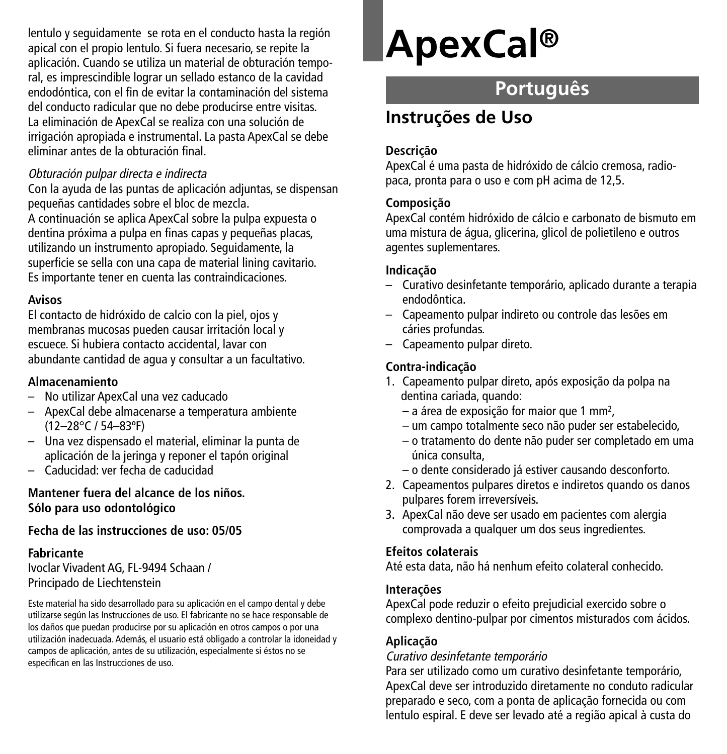lentulo y seguidamente se rota en el conducto hasta la región apical con el propio lentulo. Si fuera necesario, se repite la aplicación. Cuando se utiliza un material de obturación temporal, es imprescindible lograr un sellado estanco de la cavidad endodóntica, con el fin de evitar la contaminación del sistema del conducto radicular que no debe producirse entre visitas. La eliminación de ApexCal se realiza con una solución de irrigación apropiada e instrumental. La pasta ApexCal se debe eliminar antes de la obturación final.

#### Obturación pulpar directa <sup>e</sup> indirecta

Con la ayuda de las puntas de aplicación adjuntas, se dispensan pequeñas cantidades sobre el bloc de mezcla.

A continuación se aplica ApexCal sobre la pulpa expuesta o dentina próxima a pulpa en finas capas y pequeñas placas, utilizando un instrumento apropiado. Seguidamente, la superficie se sella con una capa de material lining cavitario. Es importante tener en cuenta las contraindicaciones.

#### **Avisos**

El contacto de hidróxido de calcio con la piel, ojos y membranas mucosas pueden causar irritación local y escuece. Si hubiera contacto accidental, lavar con abundante cantidad de agua y consultar a un facultativo.

#### **Almacenamiento**

- No utilizar ApexCal una vez caducado
- ApexCal debe almacenarse a temperatura ambiente (12–28°C / 54–83ºF)
- Una vez dispensado el material, eliminar la punta de aplicación de la jeringa y reponer el tapón original
- Caducidad: ver fecha de caducidad

#### **Mantener fuera del alcance de los niños. Sólo para uso odontológico**

# **Fecha de las instrucciones de uso: 05/05**

#### **Fabricante**

Ivoclar Vivadent AG, FL-9494 Schaan / Principado de Liechtenstein

Este material ha sido desarrollado para su aplicación en el campo dental y debe utilizarse según las Instrucciones de uso. El fabricante no se hace responsable de los daños que puedan producirse por su aplicación en otros campos o por una utilización inadecuada. Además, el usuario está obligado a controlar la idoneidad y campos de aplicación, antes de su utilización, especialmente si éstos no se especifican en las Instrucciones de uso.

# **ApexCal®**

# **Português**

# **Instruções de Uso**

#### **Descrição**

ApexCal é uma pasta de hidróxido de cálcio cremosa, radiopaca, pronta para o uso e com pH acima de 12,5.

#### **Composição**

ApexCal contém hidróxido de cálcio e carbonato de bismuto em uma mistura de água, glicerina, glicol de polietileno e outros agentes suplementares.

#### **Indicação**

- Curativo desinfetante temporário, aplicado durante a terapia endodôntica.
- Capeamento pulpar indireto ou controle das lesões em cáries profundas.
- Capeamento pulpar direto.

# **Contra-indicação**

- 1. Capeamento pulpar direto, após exposição da polpa na dentina cariada, quando:
	- a área de exposição for maior que 1 mm2,
	- um campo totalmente seco não puder ser estabelecido,
	- o tratamento do dente não puder ser completado em uma única consulta,
	- o dente considerado já estiver causando desconforto.
- 2. Capeamentos pulpares diretos e indiretos quando os danos pulpares forem irreversíveis.
- 3. ApexCal não deve ser usado em pacientes com alergia comprovada a qualquer um dos seus ingredientes.

#### **Efeitos colaterais**

Até esta data, não há nenhum efeito colateral conhecido.

#### **Interações**

ApexCal pode reduzir o efeito prejudicial exercido sobre o complexo dentino-pulpar por cimentos misturados com ácidos.

# **Aplicação**

# Curativo desinfetante temporário

Para ser utilizado como um curativo desinfetante temporário, ApexCal deve ser introduzido diretamente no conduto radicular preparado e seco, com a ponta de aplicação fornecida ou com lentulo espiral. E deve ser levado até a região apical à custa do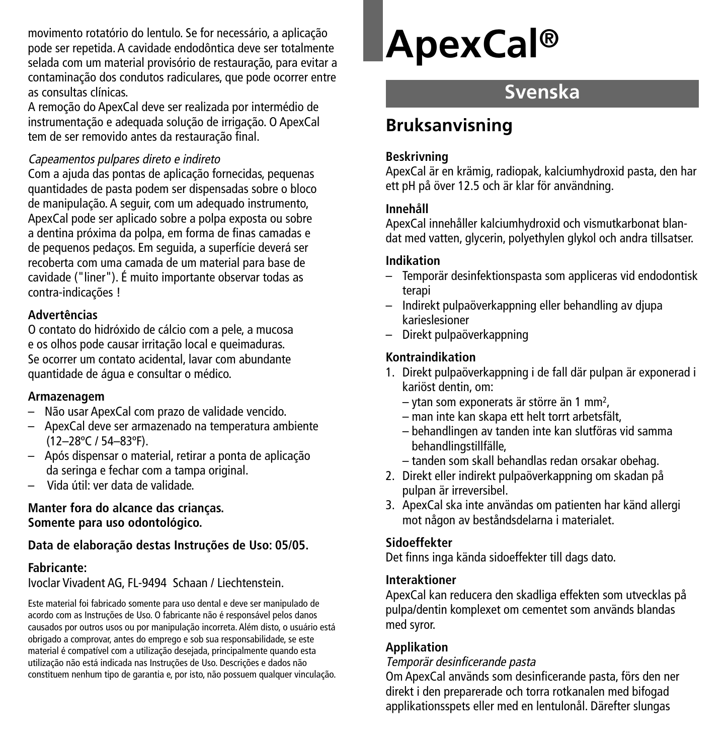movimento rotatório do lentulo. Se for necessário, a aplicação pode ser repetida. A cavidade endodôntica deve ser totalmente selada com um material provisório de restauração, para evitar a contaminação dos condutos radiculares, que pode ocorrer entre as consultas clínicas.

A remoção do ApexCal deve ser realizada por intermédio de instrumentação e adequada solução de irrigação. O ApexCal tem de ser removido antes da restauração final.

#### Capeamentos pulpares direto <sup>e</sup> indireto

Com a ajuda das pontas de aplicação fornecidas, pequenas quantidades de pasta podem ser dispensadas sobre o bloco de manipulação. A seguir, com um adequado instrumento, ApexCal pode ser aplicado sobre a polpa exposta ou sobre a dentina próxima da polpa, em forma de finas camadas e de pequenos pedaços. Em seguida, a superfície deverá ser recoberta com uma camada de um material para base de cavidade ("liner"). É muito importante observar todas as contra-indicações !

#### **Advertências**

O contato do hidróxido de cálcio com a pele, a mucosa e os olhos pode causar irritação local e queimaduras. Se ocorrer um contato acidental, lavar com abundante quantidade de água e consultar o médico.

#### **Armazenagem**

- Não usar ApexCal com prazo de validade vencido.
- ApexCal deve ser armazenado na temperatura ambiente (12–28ºC / 54–83ºF).
- Após dispensar o material, retirar a ponta de aplicação da seringa e fechar com a tampa original.
- Vida útil: ver data de validade.

#### **Manter fora do alcance das crianças. Somente para uso odontológico.**

# **Data de elaboração destas Instruções de Uso: 05/05.**

# **Fabricante:**

Ivoclar Vivadent AG, FL-9494 Schaan / Liechtenstein.

Este material foi fabricado somente para uso dental e deve ser manipulado de acordo com as Instruções de Uso. O fabricante não é responsável pelos danos causados por outros usos ou por manipulação incorreta. Além disto, o usuário está obrigado a comprovar, antes do emprego e sob sua responsabilidade, se este material é compatível com a utilização desejada, principalmente quando esta utilização não está indicada nas Instruções de Uso. Descrições e dados não constituem nenhum tipo de garantia e, por isto, não possuem qualquer vinculação.

# **ApexCal®**

# **Svenska**

# **Bruksanvisning**

### **Beskrivning**

ApexCal är en krämig, radiopak, kalciumhydroxid pasta, den har ett pH på över 12.5 och är klar för användning.

### **Innehåll**

ApexCal innehåller kalciumhydroxid och vismutkarbonat blandat med vatten, glycerin, polyethylen glykol och andra tillsatser.

### **Indikation**

- Temporär desinfektionspasta som appliceras vid endodontisk terapi
- Indirekt pulpaöverkappning eller behandling av djupa karieslesioner
- Direkt pulpaöverkappning

# **Kontraindikation**

- 1. Direkt pulpaöverkappning i de fall där pulpan är exponerad i kariöst dentin, om:
	- ytan som exponerats är större än 1 mm2,
	- man inte kan skapa ett helt torrt arbetsfält,
	- behandlingen av tanden inte kan slutföras vid samma behandlingstillfälle,
	- tanden som skall behandlas redan orsakar obehag.
- 2. Direkt eller indirekt pulpaöverkappning om skadan på pulpan är irreversibel.
- 3. ApexCal ska inte användas om patienten har känd allergi mot någon av beståndsdelarna i materialet.

# **Sidoeffekter**

Det finns inga kända sidoeffekter till dags dato.

# **Interaktioner**

ApexCal kan reducera den skadliga effekten som utvecklas på pulpa/dentin komplexet om cementet som används blandas med syror.

# **Applikation**

#### Temporär desinficerande pasta

Om ApexCal används som desinficerande pasta, förs den ner direkt i den preparerade och torra rotkanalen med bifogad applikationsspets eller med en lentulonål. Därefter slungas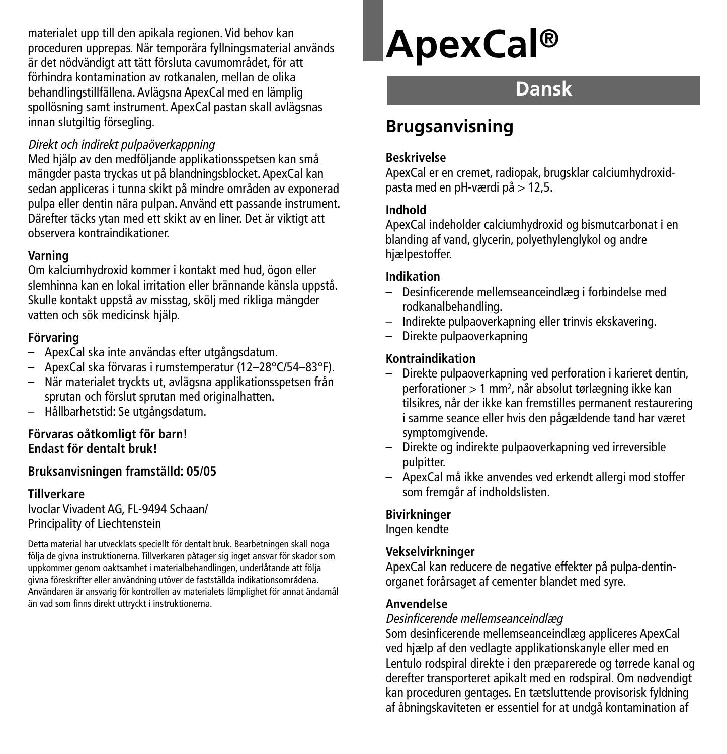materialet upp till den apikala regionen. Vid behov kan proceduren upprepas. När temporära fyllningsmaterial används är det nödvändigt att tätt försluta cavumområdet, för att förhindra kontamination av rotkanalen, mellan de olika behandlingstillfällena. Avlägsna ApexCal med en lämplig spollösning samt instrument. ApexCal pastan skall avlägsnas innan slutgiltig försegling.

#### Direkt och indirekt pulpaöverkappning

Med hjälp av den medföljande applikationsspetsen kan små mängder pasta tryckas ut på blandningsblocket. ApexCal kan sedan appliceras i tunna skikt på mindre områden av exponerad pulpa eller dentin nära pulpan. Använd ett passande instrument. Därefter täcks ytan med ett skikt av en liner. Det är viktigt att observera kontraindikationer.

#### **Varning**

Om kalciumhydroxid kommer i kontakt med hud, ögon eller slemhinna kan en lokal irritation eller brännande känsla uppstå. Skulle kontakt uppstå av misstag, skölj med rikliga mängder vatten och sök medicinsk hjälp.

# **Förvaring**

- ApexCal ska inte användas efter utgångsdatum.
- ApexCal ska förvaras i rumstemperatur (12–28°C/54–83°F).
- När materialet tryckts ut, avlägsna applikationsspetsen från sprutan och förslut sprutan med originalhatten.
- Hållbarhetstid: Se utgångsdatum.

#### **Förvaras oåtkomligt för barn! Endast för dentalt bruk!**

#### **Bruksanvisningen framställd: 05/05**

#### **Tillverkare** Ivoclar Vivadent AG, FL-9494 Schaan/

Principality of Liechtenstein

Detta material har utvecklats speciellt för dentalt bruk. Bearbetningen skall noga följa de givna instruktionerna. Tillverkaren påtager sig inget ansvar för skador som uppkommer genom oaktsamhet i materialbehandlingen, underlåtande att följa givna föreskrifter eller användning utöver de fastställda indikationsområdena. Användaren är ansvarig för kontrollen av materialets lämplighet för annat ändamål än vad som finns direkt uttryckt i instruktionerna.

# **ApexCal®**

# **Dansk**

# **Brugsanvisning**

#### **Beskrivelse**

ApexCal er en cremet, radiopak, brugsklar calciumhydroxidpasta med en pH-værdi på > 12,5.

#### **Indhold**

ApexCal indeholder calciumhydroxid og bismutcarbonat i en blanding af vand, glycerin, polyethylenglykol og andre hjælpestoffer.

### **Indikation**

- Desinficerende mellemseanceindlæg i forbindelse med rodkanalbehandling.
- Indirekte pulpaoverkapning eller trinvis ekskavering.
- Direkte pulpaoverkapning

# **Kontraindikation**

- Direkte pulpaoverkapning ved perforation i karieret dentin, perforationer > 1 mm2, når absolut tørlægning ikke kan tilsikres, når der ikke kan fremstilles permanent restaurering i samme seance eller hvis den pågældende tand har været symptomgivende.
- Direkte og indirekte pulpaoverkapning ved irreversible pulpitter.
- ApexCal må ikke anvendes ved erkendt allergi mod stoffer som fremgår af indholdslisten.

# **Bivirkninger**

Ingen kendte

# **Vekselvirkninger**

ApexCal kan reducere de negative effekter på pulpa-dentinorganet forårsaget af cementer blandet med syre.

#### **Anvendelse**

#### Desinficerende mellemseanceindlæg

Som desinficerende mellemseanceindlæg appliceres ApexCal ved hjælp af den vedlagte applikationskanyle eller med en Lentulo rodspiral direkte i den præparerede og tørrede kanal og derefter transporteret apikalt med en rodspiral. Om nødvendigt kan proceduren gentages. En tætsluttende provisorisk fyldning af åbningskaviteten er essentiel for at undgå kontamination af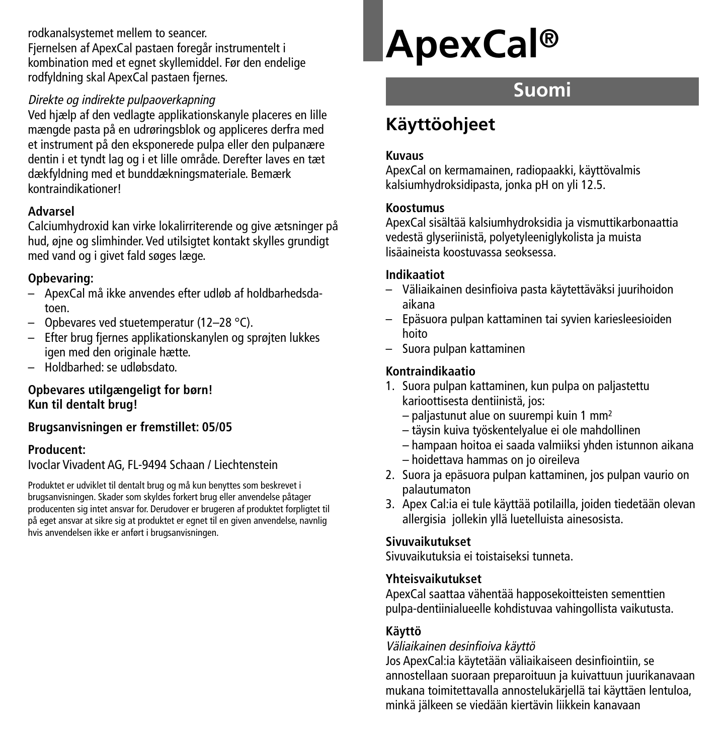rodkanalsystemet mellem to seancer. Fjernelsen af ApexCal pastaen foregår instrumentelt i kombination med et egnet skyllemiddel. Før den endelige rodfyldning skal ApexCal pastaen fjernes.

# Direkte og indirekte pulpaoverkapning

Ved hjælp af den vedlagte applikationskanyle placeres en lille mængde pasta på en udrøringsblok og appliceres derfra med et instrument på den eksponerede pulpa eller den pulpanære dentin i et tyndt lag og i et lille område. Derefter laves en tæt dækfyldning med et bunddækningsmateriale. Bemærk kontraindikationer!

# **Advarsel**

Calciumhydroxid kan virke lokalirriterende og give ætsninger på hud, øjne og slimhinder. Ved utilsigtet kontakt skylles grundigt med vand og i givet fald søges læge.

# **Opbevaring:**

- ApexCal må ikke anvendes efter udløb af holdbarhedsdatoen.
- Opbevares ved stuetemperatur (12–28 °C).
- Efter brug fjernes applikationskanylen og sprøjten lukkes igen med den originale hætte.
- Holdbarhed: se udløbsdato.

# **Opbevares utilgængeligt for børn! Kun til dentalt brug!**

# **Brugsanvisningen er fremstillet: 05/05**

# **Producent:**

Ivoclar Vivadent AG, FL-9494 Schaan / Liechtenstein

Produktet er udviklet til dentalt brug og må kun benyttes som beskrevet i brugsanvisningen. Skader som skyldes forkert brug eller anvendelse påtager producenten sig intet ansvar for. Derudover er brugeren af produktet forpligtet til på eget ansvar at sikre sig at produktet er egnet til en given anvendelse, navnlig hvis anvendelsen ikke er anført i brugsanvisningen.

# **ApexCal®**

# **Suomi**

# **Käyttöohjeet**

### **Kuvaus**

ApexCal on kermamainen, radiopaakki, käyttövalmis kalsiumhydroksidipasta, jonka pH on yli 12.5.

### **Koostumus**

ApexCal sisältää kalsiumhydroksidia ja vismuttikarbonaattia vedestä glyseriinistä, polyetyleeniglykolista ja muista lisäaineista koostuvassa seoksessa.

### **Indikaatiot**

- Väliaikainen desinfioiva pasta käytettäväksi juurihoidon aikana
- Epäsuora pulpan kattaminen tai syvien kariesleesioiden hoito
- Suora pulpan kattaminen

# **Kontraindikaatio**

- 1. Suora pulpan kattaminen, kun pulpa on paljastettu karioottisesta dentiinistä, jos:
	- paljastunut alue on suurempi kuin 1 mm2
	- täysin kuiva työskentelyalue ei ole mahdollinen
	- hampaan hoitoa ei saada valmiiksi yhden istunnon aikana
	- hoidettava hammas on jo oireileva
- 2. Suora ja epäsuora pulpan kattaminen, jos pulpan vaurio on palautumaton
- 3. Apex Cal:ia ei tule käyttää potilailla, joiden tiedetään olevan allergisia jollekin yllä luetelluista ainesosista.

# **Sivuvaikutukset**

Sivuvaikutuksia ei toistaiseksi tunneta.

# **Yhteisvaikutukset**

ApexCal saattaa vähentää happosekoitteisten sementtien pulpa-dentiinialueelle kohdistuvaa vahingollista vaikutusta.

# **Käyttö**

#### Väliaikainen desinfioiva käyttö

Jos ApexCal:ia käytetään väliaikaiseen desinfiointiin, se annostellaan suoraan preparoituun ja kuivattuun juurikanavaan mukana toimitettavalla annostelukärjellä tai käyttäen lentuloa, minkä jälkeen se viedään kiertävin liikkein kanavaan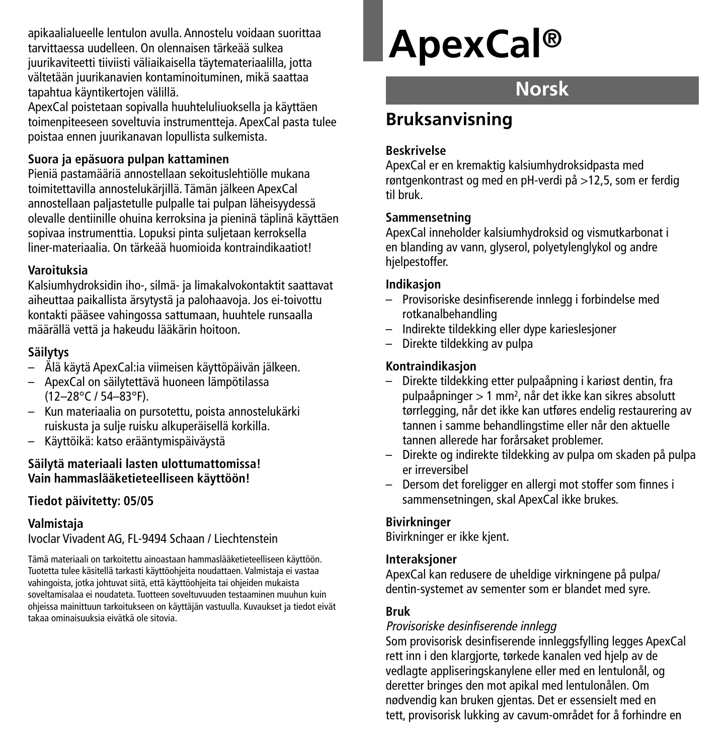apikaalialueelle lentulon avulla. Annostelu voidaan suorittaa tarvittaessa uudelleen. On olennaisen tärkeää sulkea juurikaviteetti tiiviisti väliaikaisella täytemateriaalilla, jotta vältetään juurikanavien kontaminoituminen, mikä saattaa tapahtua käyntikertojen välillä.

ApexCal poistetaan sopivalla huuhteluliuoksella ja käyttäen toimenpiteeseen soveltuvia instrumentteja. ApexCal pasta tulee poistaa ennen juurikanavan lopullista sulkemista.

### **Suora ja epäsuora pulpan kattaminen**

Pieniä pastamääriä annostellaan sekoituslehtiölle mukana toimitettavilla annostelukärjillä. Tämän jälkeen ApexCal annostellaan paljastetulle pulpalle tai pulpan läheisyydessä olevalle dentiinille ohuina kerroksina ja pieninä täplinä käyttäen sopivaa instrumenttia. Lopuksi pinta suljetaan kerroksella liner-materiaalia. On tärkeää huomioida kontraindikaatiot!

#### **Varoituksia**

Kalsiumhydroksidin iho-, silmä- ja limakalvokontaktit saattavat aiheuttaa paikallista ärsytystä ja palohaavoja. Jos ei-toivottu kontakti pääsee vahingossa sattumaan, huuhtele runsaalla määrällä vettä ja hakeudu lääkärin hoitoon.

# **Säilytys**

- Älä käytä ApexCal:ia viimeisen käyttöpäivän jälkeen.
- ApexCal on säilytettävä huoneen lämpötilassa (12–28°C / 54–83°F).
- Kun materiaalia on pursotettu, poista annostelukärki ruiskusta ja sulje ruisku alkuperäisellä korkilla.
- Käyttöikä: katso erääntymispäiväystä

#### **Säilytä materiaali lasten ulottumattomissa! Vain hammaslääketieteelliseen käyttöön!**

# **Tiedot päivitetty: 05/05**

# **Valmistaja**

Ivoclar Vivadent AG, FL-9494 Schaan / Liechtenstein

Tämä materiaali on tarkoitettu ainoastaan hammaslääketieteelliseen käyttöön. Tuotetta tulee käsitellä tarkasti käyttöohjeita noudattaen. Valmistaja ei vastaa vahingoista, jotka johtuvat siitä, että käyttöohjeita tai ohjeiden mukaista soveltamisalaa ei noudateta. Tuotteen soveltuvuuden testaaminen muuhun kuin ohjeissa mainittuun tarkoitukseen on käyttäjän vastuulla. Kuvaukset ja tiedot eivät takaa ominaisuuksia eivätkä ole sitovia.

# **ApexCal®**

# **Norsk**

# **Bruksanvisning**

### **Beskrivelse**

ApexCal er en kremaktig kalsiumhydroksidpasta med røntgenkontrast og med en pH-verdi på >12,5, som er ferdig til bruk.

### **Sammensetning**

ApexCal inneholder kalsiumhydroksid og vismutkarbonat i en blanding av vann, glyserol, polyetylenglykol og andre hielpestoffer.

### **Indikasjon**

- Provisoriske desinfiserende innlegg i forbindelse med rotkanalbehandling
- Indirekte tildekking eller dype karieslesjoner
- Direkte tildekking av pulpa

# **Kontraindikasjon**

- Direkte tildekking etter pulpaåpning i kariøst dentin, fra pulpaåpninger > 1 mm2, når det ikke kan sikres absolutt tørrlegging, når det ikke kan utføres endelig restaurering av tannen i samme behandlingstime eller når den aktuelle tannen allerede har forårsaket problemer.
- Direkte og indirekte tildekking av pulpa om skaden på pulpa er irreversibel
- Dersom det foreligger en allergi mot stoffer som finnes i sammensetningen, skal ApexCal ikke brukes.

# **Bivirkninger**

Bivirkninger er ikke kjent.

# **Interaksjoner**

ApexCal kan redusere de uheldige virkningene på pulpa/ dentin-systemet av sementer som er blandet med syre.

# **Bruk**

#### Provisoriske desinfiserende innlegg

Som provisorisk desinfiserende innleggsfylling legges ApexCal rett inn i den klargjorte, tørkede kanalen ved hjelp av de vedlagte appliseringskanylene eller med en lentulonål, og deretter bringes den mot apikal med lentulonålen. Om nødvendig kan bruken gjentas. Det er essensielt med en tett, provisorisk lukking av cavum-området for å forhindre en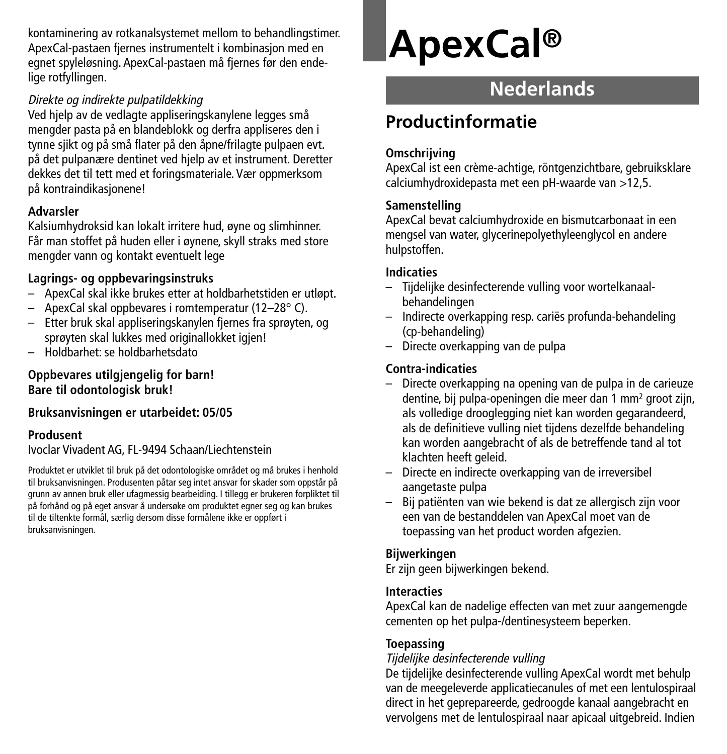kontaminering av rotkanalsystemet mellom to behandlingstimer. ApexCal-pastaen fjernes instrumentelt i kombinasjon med en egnet spyleløsning. ApexCal-pastaen må fjernes før den endelige rotfyllingen.

### Direkte og indirekte pulpatildekking

Ved hjelp av de vedlagte appliseringskanylene legges små mengder pasta på en blandeblokk og derfra appliseres den i tynne sjikt og på små flater på den åpne/frilagte pulpaen evt. på det pulpanære dentinet ved hjelp av et instrument. Deretter dekkes det til tett med et foringsmateriale. Vær oppmerksom på kontraindikasjonene!

# **Advarsler**

Kalsiumhydroksid kan lokalt irritere hud, øyne og slimhinner. Får man stoffet på huden eller i øynene, skyll straks med store mengder vann og kontakt eventuelt lege

# **Lagrings- og oppbevaringsinstruks**

- ApexCal skal ikke brukes etter at holdbarhetstiden er utløpt.
- ApexCal skal oppbevares i romtemperatur (12–28° C).
- Etter bruk skal appliseringskanylen fjernes fra sprøyten, og sprøyten skal lukkes med originallokket igjen!
- Holdbarhet: se holdbarhetsdato

# **Oppbevares utilgjengelig for barn! Bare til odontologisk bruk!**

# **Bruksanvisningen er utarbeidet: 05/05**

# **Produsent**

Ivoclar Vivadent AG, FL-9494 Schaan/Liechtenstein

Produktet er utviklet til bruk på det odontologiske området og må brukes i henhold til bruksanvisningen. Produsenten påtar seg intet ansvar for skader som oppstår på grunn av annen bruk eller ufagmessig bearbeiding. I tillegg er brukeren forpliktet til på forhånd og på eget ansvar å undersøke om produktet egner seg og kan brukes til de tiltenkte formål, særlig dersom disse formålene ikke er oppført i bruksanvisningen.

# **ApexCal®**

# **Nederlands**

# **Productinformatie**

# **Omschrijving**

ApexCal ist een crème-achtige, röntgenzichtbare, gebruiksklare calciumhydroxidepasta met een pH-waarde van >12,5.

# **Samenstelling**

ApexCal bevat calciumhydroxide en bismutcarbonaat in een mengsel van water, glycerinepolyethyleenglycol en andere hulpstoffen.

# **Indicaties**

- Tijdelijke desinfecterende vulling voor wortelkanaalbehandelingen
- Indirecte overkapping resp. cariës profunda-behandeling (cp-behandeling)
- Directe overkapping van de pulpa

# **Contra-indicaties**

- Directe overkapping na opening van de pulpa in de carieuze dentine, bij pulpa-openingen die meer dan 1 mm2 groot zijn, als volledige drooglegging niet kan worden gegarandeerd, als de definitieve vulling niet tijdens dezelfde behandeling kan worden aangebracht of als de betreffende tand al tot klachten heeft geleid.
- Directe en indirecte overkapping van de irreversibel aangetaste pulpa
- Bij patiënten van wie bekend is dat ze allergisch zijn voor een van de bestanddelen van ApexCal moet van de toepassing van het product worden afgezien.

# **Bijwerkingen**

Er zijn geen bijwerkingen bekend.

# **Interacties**

ApexCal kan de nadelige effecten van met zuur aangemengde cementen op het pulpa-/dentinesysteem beperken.

# **Toepassing**

# Tijdelijke desinfecterende vulling

De tijdelijke desinfecterende vulling ApexCal wordt met behulp van de meegeleverde applicatiecanules of met een lentulospiraal direct in het geprepareerde, gedroogde kanaal aangebracht en vervolgens met de lentulospiraal naar apicaal uitgebreid. Indien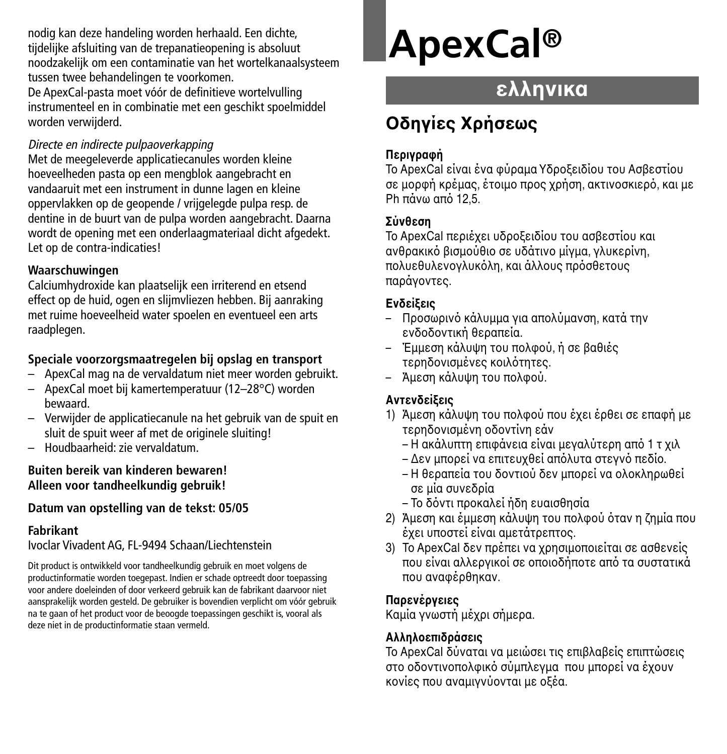nodig kan deze handeling worden herhaald. Een dichte, tijdelijke afsluiting van de trepanatieopening is absoluut noodzakelijk om een contaminatie van het wortelkanaalsysteem tussen twee behandelingen te voorkomen.

De ApexCal-pasta moet vóór de definitieve wortelvulling instrumenteel en in combinatie met een geschikt spoelmiddel worden verwijderd.

### Directe en indirecte pulpaoverkapping

Met de meegeleverde applicatiecanules worden kleine hoeveelheden pasta op een mengblok aangebracht en vandaaruit met een instrument in dunne lagen en kleine oppervlakken op de geopende / vrijgelegde pulpa resp. de dentine in de buurt van de pulpa worden aangebracht. Daarna wordt de opening met een onderlaagmateriaal dicht afgedekt. Let op de contra-indicaties!

### **Waarschuwingen**

Calciumhydroxide kan plaatselijk een irriterend en etsend effect op de huid, ogen en slijmvliezen hebben. Bij aanraking met ruime hoeveelheid water spoelen en eventueel een arts raadplegen.

# **Speciale voorzorgsmaatregelen bij opslag en transport**

- ApexCal mag na de vervaldatum niet meer worden gebruikt.
- ApexCal moet bij kamertemperatuur (12–28°C) worden bewaard.
- Verwijder de applicatiecanule na het gebruik van de spuit en sluit de spuit weer af met de originele sluiting!
- Houdbaarheid: zie vervaldatum.

#### **Buiten bereik van kinderen bewaren! Alleen voor tandheelkundig gebruik!**

# **Datum van opstelling van de tekst: 05/05**

# **Fabrikant**

Ivoclar Vivadent AG, FL-9494 Schaan/Liechtenstein

Dit product is ontwikkeld voor tandheelkundig gebruik en moet volgens de productinformatie worden toegepast. Indien er schade optreedt door toepassing voor andere doeleinden of door verkeerd gebruik kan de fabrikant daarvoor niet aansprakelijk worden gesteld. De gebruiker is bovendien verplicht om vóór gebruik na te gaan of het product voor de beoogde toepassingen geschikt is, vooral als deze niet in de productinformatie staan vermeld.

# **ApexCal®**

# **ελληνικα**

# **Oδηγίες Xρήσεως**

# **Περιγραή**

Το ApexCal είναι ένα φύραμα Υδροξειδίου του Ασβεστίου σε μορφή κρέμας, έτοιμο προς χρήση, ακτινοσκιερό, και με Ph πάνω από 12.5.

# **Σύνθεση**

Το ApexCal περιέγει υδροξειδίου του ασβεστίου και ανθρακικό βισμούθιο σε υδάτινο μίνμα, γλυκερίνη, πολυεθυλενονλυκόλη, και άλλους πρόσθετους παράνοντες.

# **Ενδεί!εις**

- Προσωρινό κάλυμμα για απολύμανση, κατά την ενδοδοντική θεραπεία.
- Έμμεση κάλυψη του πολφού, ή σε βαθιές τερηδονισμένες κοιλότητες.
- Άμεση κάλυψη του πολφού.

# **Αντενδείξεις**

- 1) Άμεση κάλυψη του πολφού που έχει έρθει σε επαφή με τερηδονισμένη οδοντίνη εάν
	- Η ακάλυπτη επιφάνεια είναι μεναλύτερη από 1 τ χιλ
	- Δεν μπορεί να επιτευχθεί απόλυτα στεννό πεδίο.
	- Η θεραπεία του δοντιού δεν μπορεί να ολοκληρωθεί σε µία συνεδρία
	- Το δόντι προκαλεί ήδη ευαισθησία
- 2) Άμεση και έμμεση κάλυψη του πολφού όταν η ζημία που έχει υποστεί είναι αμετάτρεπτος.
- 3) Το ApexCal δεν πρέπει να χρησιμοποιείται σε ασθενείς που είναι αλλεργικοί σε οποιοδήποτε από τα συστατικά που αναφέρθηκαν.

# **Παρενέργειες**

Καμία γνωστή μέχρι σήμερα.

# **Αλληλ&επιδράσεις**

Το ApexCal δύναται να μειώσει τις επιβλαβείς επιπτώσεις στο οδοντινοπολφικό σύμπλενμα που μπορεί να έχουν κονίες που αναμιννύονται με οξέα.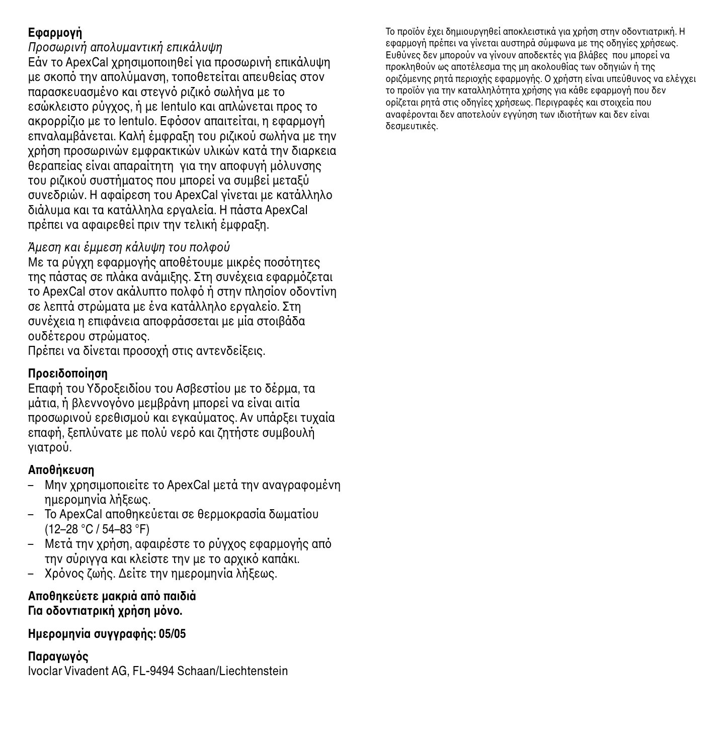# **Εαρµ&γή**

Πρσωρινή απλυµαντική επικάλυψη Εάν το ApexCal χρησιμοποιηθεί για προσωρινή επικάλυψη με σκοπό την απολύμανση, τοποθετείται απευθείας στον παρασκευασμένο και στεγνό ριζικό σωλήνα με το εσώκλειστο ρύγγος, ή με lentulo και απλώνεται προς το ακρορρίζιο με το lentulo. Εφόσον απαιτείται, η εφαρμονή επναλαμβάνεται. Καλή έμφραξη του ριζικού σωλήνα με την νρήση προσωρινών εμφρακτικών υλικών κατά την διαρκεια βεραπείας είναι απαραίτητη για την αποφυνή μόλυνσης του ριζικού συστήματος που μπροεί να συμβεί μεταξύ συνεδριών. Η αφαίρεση του ApexCal γίνεται με κατάλληλο διάλυµα και τα κατάλληλα εργαλεία. Η πάστα ApexCal πρέπει να αφαιρεθεί πριν την τελική έμφραξη.

### Άμεση και έμμεση κάλυψη του πολφού

Με τα ρύγχη εφαρμονής αποθέτουμε μικρές ποσότητες της πάστας σε πλάκα ανάμιξης. Στη συνέχεια εφαρμόζεται το ApexCal στον ακάλυπτο πολφό ή στην πλησίον οδοντίνη σε λεπτά στρώματα με ένα κατάλληλο εργαλείο. Στη συνέχεια η επιφάνεια αποφράσσεται με μία στοιβάδα ουδέτερου στρώματος.

Πρέπει να δίνεται προσοχή στις αντενδείξεις.

# **Πρ&ειδ&π&ίηση**

Επαφή του Υδροξειδίου του Ασβεστίου με το δέρμα, τα μάτια, ή βλεννογόνο μεμβράνη μπορεί να είναι αιτία προσωρινού ερεθισμού και εγκαύματος. Αν υπάρξει τυχαία επαφή, ξεπλύνατε με πολύ νερό και ζητήστε συμβουλή νιατρού.

# **Απ&θήκευση**

- Μην χρησιμοποιείτε το ApexCal μετά την αναγραφομένη ημερομηνία λήξεως.
- Το ApexCal αποθηκεύεται σε θερμοκρασία δωματίου (12–28 °C / 54–83 °F)
- Μετά την χρήση, αφαιρέστε το ρύγχος εφαρμογής από την σύριγγα και κλείστε την με το αρχικό καπάκι.
- Χρόνος ζωής. Δείτε την ημερομηνία λήξεως.

#### **Απ&θηκεύετε µακριά απ παιδιά Για &δ&ντιατρική .ρήση µν&.**

#### **Ηµερ&µηνία συγγραής: 05/05**

# **Παραγωγς**

Ivoclar Vivadent AG, FL-9494 Schaan/Liechtenstein

Το προϊόν έχει δημιουργηθεί αποκλειστικά για χρήση στην οδοντιατρική. Η εφαρμονή πρέπει να γίνεται αυστηρά σύμφωνα με της οδηγίες χρήσεως. Ευθύνες δεν μπορούν να γίνουν αποδεκτές για βλάβες που μπορεί να προκληθούν ως αποτέλεσμα της μη ακολουθίας των οδηγιών ή της οριζόμενης ρητά περιοχής εφαρμονής. Ο χρήστη είναι υπεύθυνος να ελέγχει το προϊόν για την καταλληλότητα χρήσης για κάθε εφαρμονή που δεν ροίζεται ρητά στις οδηγίες χρήσεως. Περιγραφές και στοιχεία που αναφέρονται δεν αποτελούν εγγύηση των ιδιοτήτων και δεν είναι δεσµευτικές.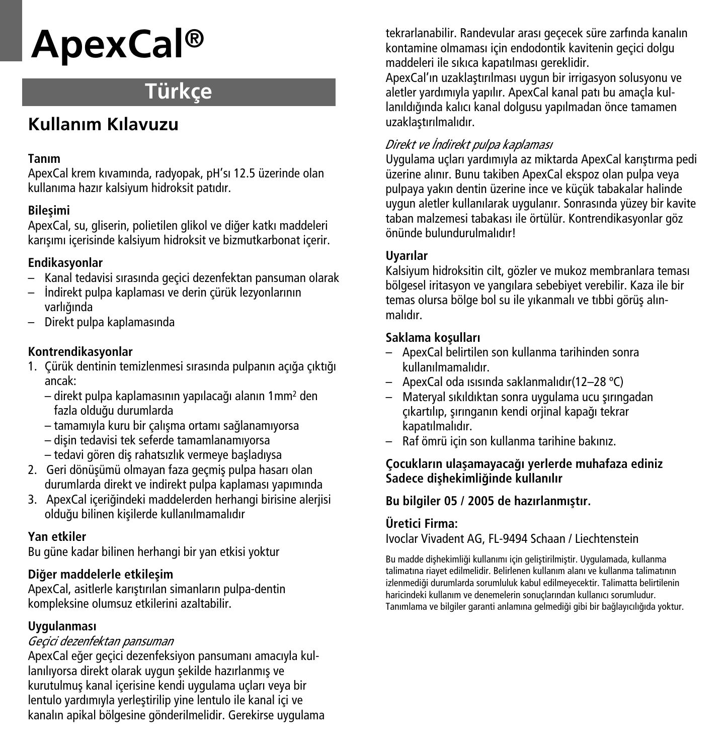# **ApexCal®**

# **Türkçe**

# **Kullan›m K›lavuzu**

# **Tanım**

ApexCal krem kıvamında, radyopak, pH'sı 12.5 üzerinde olan kullanıma hazır kalsiyum hidroksit patıdır.

# **Bilesimi**

ApexCal, su, gliserin, polietilen glikol ve diğer katkı maddeleri karısımı içerisinde kalsiyum hidroksit ve bizmutkarbonat içerir.

# **Endikasyonlar**

- Kanal tedavisi sırasında geçici dezenfektan pansuman olarak
- $-$  İndirekt pulpa kaplaması ve derin çürük lezyonlarının varlığında
- Direkt pulpa kaplamasında

# **Kontrendikasyonlar**

- 1. Çürük dentinin temizlenmesi sırasında pulpanın açığa çıktığı ancak:
	- direkt pulpa kaplamasının yapılaca¤ı alanın 1mm2 den fazla oldu¤u durumlarda
	- tamamıyla kuru bir çalıflma ortamı sa¤lanamıyorsa
	- $-$  disin tedavisi tek seferde tamamlanamıyorsa
	- tedavi gören difl rahatsızlık vermeye baflladıysa
- 2. Geri dönüsümü olmayan faza geçmiş pulpa hasarı olan durumlarda direkt ve indirekt pulpa kaplaması yapımında
- 3. ApexCal içeriğindeki maddelerden herhangi birisine alerijsi olduğu bilinen kisilerde kullanılmamalıdır

# **Yan etkiler**

Bu güne kadar bilinen herhangi bir yan etkisi yoktur

# **Di¤er maddelerle etkileflim**

ApexCal, asitlerle karıstırılan simanların pulpa-dentin kompleksine olumsuz etkilerini azaltabilir.

# **Uygulanması**

# *Geçici dezenfektan pansuman*

ApexCal eğer geçici dezenfeksiyon pansumanı amacıyla kullanılıyorsa direkt olarak uygun şekilde hazırlanmış ve kurutulmuş kanal içerisine kendi uygulama uçları veya bir lentulo yardımıyla yerleştirilip yine lentulo ile kanal içi ve kanalın apikal bölgesine gönderilmelidir. Gerekirse uygulama tekrarlanabilir. Randevular arası geçecek süre zarfında kanalın kontamine olmaması için endodontik kavitenin geçici dolgu maddeleri ile sıkıca kapatılması gereklidir.

ApexCal'ın uzaklaştırılması uygun bir irrigasyon solusyonu ve aletler yardımıyla yapılır. ApexCal kanal patı bu amaçla kullanıldı¤ında kalıcı kanal dolgusu yapılmadan önce tamamen uzaklastırılmalıdır.

# *Direkt ve ‹ndirekt pulpa kaplaması*

Uygulama uçları yardımıyla az miktarda ApexCal karıfltırma pedi üzerine alınır. Bunu takiben ApexCal ekspoz olan pulpa veya pulpaya yakın dentin üzerine ince ve küçük tabakalar halinde uygun aletler kullanılarak uygulanır. Sonrasında yüzey bir kavite taban malzemesi tabakası ile örtülür. Kontrendikasyonlar göz önünde bulundurulmalıdır!

# **Uyarılar**

Kalsiyum hidroksitin cilt, gözler ve mukoz membranlara teması bölgesel iritasyon ve yangılara sebebiyet verebilir. Kaza ile bir temas olursa bölge bol su ile yıkanmalı ve tıbbi görüş alınmalıdır.

# **Saklama koflulları**

- ApexCal belirtilen son kullanma tarihinden sonra kullanılmamalıdır.
- ApexCal oda ısısında saklanmalıdır(12–28 ºC)
- Materyal sıkıldıktan sonra uygulama ucu flırıngadan çıkartılıp, sırınganın kendi oriinal kapağı tekrar kapatılmalıdır.
- Raf ömrü için son kullanma tarihine bakınız.

# **Çocukların ulaflamayaca¤ı yerlerde muhafaza ediniz Sadece diflhekimli¤inde kullanılır**

# **Bu bilgiler 05 / 2005 de hazırlanmıfltır.**

# **Üretici Firma:**

Ivoclar Vivadent AG, FL-9494 Schaan / Liechtenstein

Bu madde dishekimliği kullanımı için geliştirilmiştir. Uygulamada, kullanma talimatına riayet edilmelidir. Belirlenen kullanım alanı ve kullanma talimatının izlenmediği durumlarda sorumluluk kabul edilmeyecektir. Talimatta belirtilenin haricindeki kullanım ve denemelerin sonuçlarından kullanıcı sorumludur. Tanımlama ve bilgiler garanti anlamına gelmediği gibi bir bağlayıcılığıda yoktur.